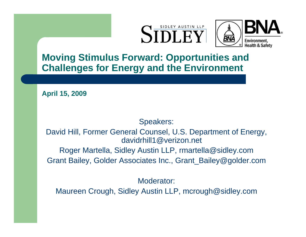



**Moving Stimulus Forward: Opportunities and Challenges for Energy and the Environment**

**April 15, 2009**

#### Speakers:

David Hill, Former General Counsel, U.S. Department of Energy, davidrhill1@verizon.net

Roger Martella, Sidley Austin LLP, rmartella@sidley.com Grant Bailey, Golder Associates Inc., Grant\_Bailey@golder.com

Moderator:

Maureen Crough, Sidley Austin LLP, mcrough@sidley.com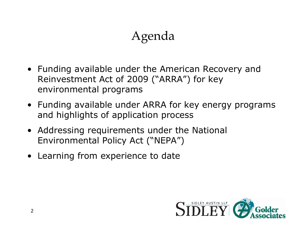# Agenda

- Funding available under the American Recovery and Reinvestment Act of 2009 ("ARRA") for key environmental programs
- Funding available under ARRA for key energy programs and highlights of application process
- Addressing requirements under the National Environmental Policy Act ("NEPA")
- Learning from experience to date

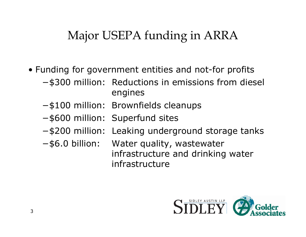### Major USEPA funding in ARRA

- Funding for government entities and not-for profits
	- <sup>−</sup>\$300 million: Reductions in emissions from diesel engines
	- <sup>−</sup>\$100 million: Brownfields cleanups
	- <sup>−</sup>\$600 million: Superfund sites
	- −\$200 million: Leaking underground storage tanks
	- <sup>−</sup>\$6.0 billion: Water quality, wastewater infrastructure and drinking water infrastructure

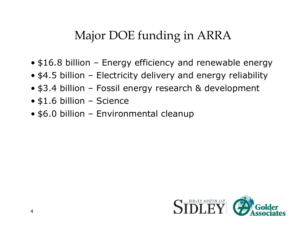### Major DOE funding in ARRA

- \$16.8 billion Energy efficiency and renewable energy
- \$4.5 billion Electricity delivery and energy reliability
- \$3.4 billion Fossil energy research & development
- \$1.6 billion Science
- \$6.0 billion Environmental cleanup

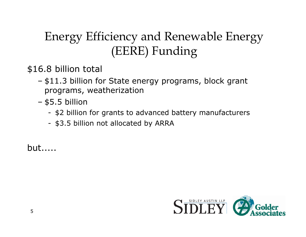# Energy Efficiency and Renewable Energy (EERE) Funding

\$16.8 billion total

- \$11.3 billion for State energy programs, block grant programs, weatherization
- \$5.5 billion
	- \$2 billion for grants to advanced battery manufacturers
	- \$3.5 billion not allocated by ARRA

but.....

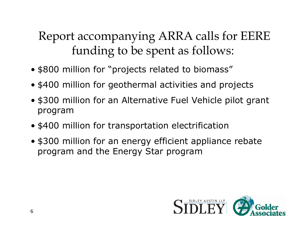### Report accompanying ARRA calls for EERE funding to be spent as follows:

- \$800 million for "projects related to biomass"
- \$400 million for geothermal activities and projects
- \$300 million for an Alternative Fuel Vehicle pilot grant program
- \$400 million for transportation electrification
- \$300 million for an energy efficient appliance rebate program and the Energy Star program

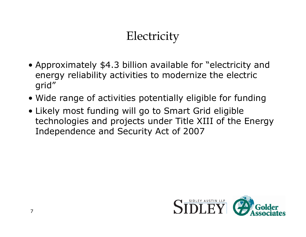# **Electricity**

- Approximately \$4.3 billion available for "electricity and energy reliability activities to modernize the electric grid"
- Wide range of activities potentially eligible for funding
- Likely most funding will go to Smart Grid eligible technologies and projects under Title XIII of the Energy Independence and Security Act of 2007

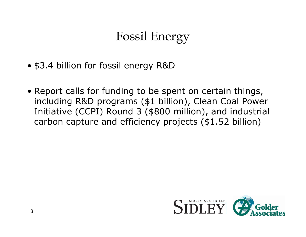## Fossil Energy

- \$3.4 billion for fossil energy R&D
- Report calls for funding to be spent on certain things, including R&D programs (\$1 billion), Clean Coal Power Initiative (CCPI) Round 3 (\$800 million), and industrial carbon capture and efficiency projects (\$1.52 billion)

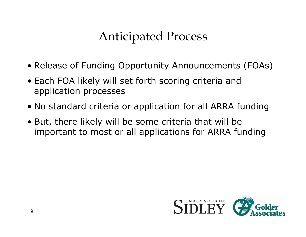### Anticipated Process

- Release of Funding Opportunity Announcements (FOAs)
- Each FOA likely will set forth scoring criteria and application processes
- No standard criteria or application for all ARRA funding
- But, there likely will be some criteria that will be important to most or all applications for ARRA funding

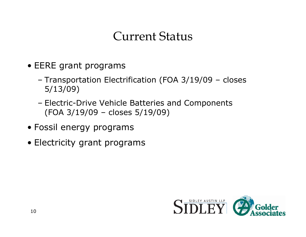### Current Status

- EERE grant programs
	- Transportation Electrification (FOA 3/19/09 closes 5/13/09)
	- Electric-Drive Vehicle Batteries and Components (FOA 3/19/09 – closes 5/19/09)
- Fossil energy programs
- Electricity grant programs

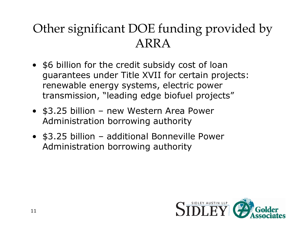## Other significant DOE funding provided by ARRA

- \$6 billion for the credit subsidy cost of loan guarantees under Title XVII for certain projects: renewable energy systems, electric power transmission, "leading edge biofuel projects"
- \$3.25 billion new Western Area Power Administration borrowing authority
- \$3.25 billion additional Bonneville Power Administration borrowing authority

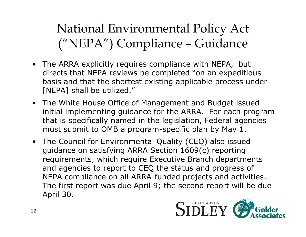National Environmental Policy Act ("NEPA") Compliance – Guidance

- The ARRA explicitly requires compliance with NEPA, but directs that NEPA reviews be completed "on an expeditious basis and that the shortest existing applicable process under [NEPA] shall be utilized."
- The White House Office of Management and Budget issued initial implementing guidance for the ARRA. For each program that is specifically named in the legislation, Federal agencies must submit to OMB a program-specific plan by May 1.
- The Council for Environmental Quality (CEQ) also issued guidance on satisfying ARRA Section 1609(c) reporting requirements, which require Executive Branch departments and agencies to report to CEQ the status and progress of NEPA compliance on all ARRA-funded projects and activities. The first report was due April 9; the second report will be due April 30.

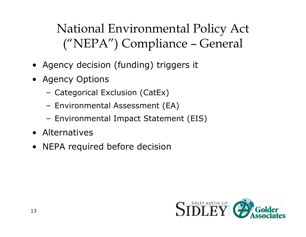# National Environmental Policy Act ("NEPA") Compliance – General

- Agency decision (funding) triggers it
- Agency Options
	- –Categorical Exclusion (CatEx)
	- –Environmental Assessment (EA)
	- –Environmental Impact Statement (EIS)
- Alternatives
- NEPA required before decision

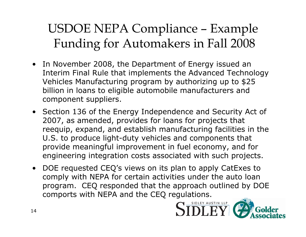# USDOE NEPA Compliance – Example Funding for Automakers in Fall 2008

- In November 2008, the Department of Energy issued an Interim Final Rule that implements the Advanced Technology Vehicles Manufacturing program by authorizing up to \$25 billion in loans to eligible automobile manufacturers and component suppliers.
- Section 136 of the Energy Independence and Security Act of 2007, as amended, provides for loans for projects that reequip, expand, and establish manufacturing facilities in the U.S. to produce light-duty vehicles and components that provide meaningful improvement in fuel economy, and for engineering integration costs associated with such projects.
- DOE requested CEQ's views on its plan to apply CatExes to comply with NEPA for certain activities under the auto loan program. CEQ responded that the approach outlined by DOE comports with NEPA and the CEQ regulations.

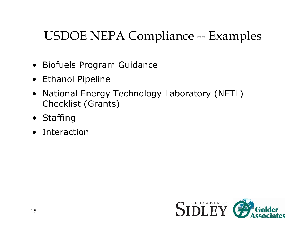# USDOE NEPA Compliance -- Examples

- Biofuels Program Guidance
- Ethanol Pipeline
- $\bullet$  National Energy Technology Laboratory (NETL) Checklist (Grants)
- Staffing
- Interaction

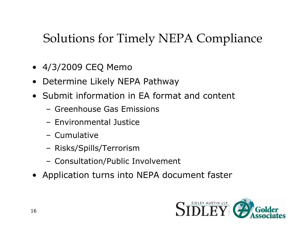# Solutions for Timely NEPA Compliance

- 4/3/2009 CEQ Memo
- •Determine Likely NEPA Pathway
- Submit information in EA format and content
	- Greenhouse Gas Emissions
	- Environmental Justice
	- Cumulative
	- –Risks/Spills/Terrorism
	- –Consultation/Public Involvement
- Application turns into NEPA document faster

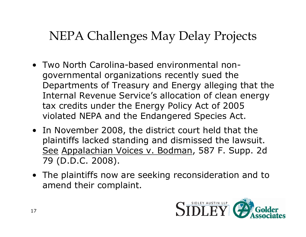### NEPA Challenges May Delay Projects

- Two North Carolina-based environmental nongovernmental organizations recently sued the Departments of Treasury and Energy alleging that the Internal Revenue Service's allocation of clean energy tax credits under the Energy Policy Act of 2005 violated NEPA and the Endangered Species Act.
- In November 2008, the district court held that the plaintiffs lacked standing and dismissed the lawsuit. <u>See Appalachian Voices v. Bodman</u>, 587 F. Supp. 2d 79 (D.D.C. 2008).
- The plaintiffs now are seeking reconsideration and to amend their complaint.

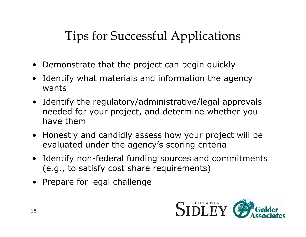# Tips for Successful Applications

- •Demonstrate that the project can begin quickly
- • Identify what materials and information the agency wants
- Identify the regulatory/administrative/legal approvals needed for your project, and determine whether you have them
- Honestly and candidly assess how your project will be evaluated under the agency's scoring criteria
- Identify non-federal funding sources and commitments (e.g., to satisfy cost share requirements)
- Prepare for legal challenge